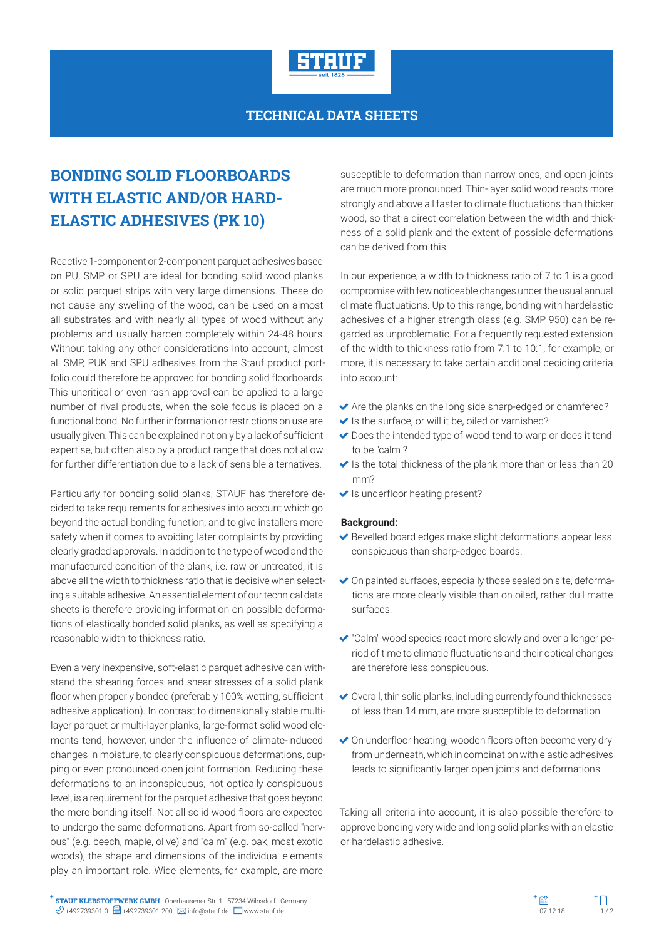

## **TECHNICAL DATA SHEETS**

## **BONDING SOLID FLOORBOARDS WITH ELASTIC AND/OR HARD-ELASTIC ADHESIVES (PK 10)**

Reactive 1-component or 2-component parquet adhesives based on PU, SMP or SPU are ideal for bonding solid wood planks or solid parquet strips with very large dimensions. These do not cause any swelling of the wood, can be used on almost all substrates and with nearly all types of wood without any problems and usually harden completely within 24-48 hours. Without taking any other considerations into account, almost all SMP, PUK and SPU adhesives from the Stauf product portfolio could therefore be approved for bonding solid floorboards. This uncritical or even rash approval can be applied to a large number of rival products, when the sole focus is placed on a functional bond. No further information or restrictions on use are usually given. This can be explained not only by a lack of sufficient expertise, but often also by a product range that does not allow for further differentiation due to a lack of sensible alternatives.

Particularly for bonding solid planks, STAUF has therefore decided to take requirements for adhesives into account which go beyond the actual bonding function, and to give installers more safety when it comes to avoiding later complaints by providing clearly graded approvals. In addition to the type of wood and the manufactured condition of the plank, i.e. raw or untreated, it is above all the width to thickness ratio that is decisive when selecting a suitable adhesive. An essential element of our technical data sheets is therefore providing information on possible deformations of elastically bonded solid planks, as well as specifying a reasonable width to thickness ratio.

Even a very inexpensive, soft-elastic parquet adhesive can withstand the shearing forces and shear stresses of a solid plank floor when properly bonded (preferably 100% wetting, sufficient adhesive application). In contrast to dimensionally stable multilayer parquet or multi-layer planks, large-format solid wood elements tend, however, under the influence of climate-induced changes in moisture, to clearly conspicuous deformations, cupping or even pronounced open joint formation. Reducing these deformations to an inconspicuous, not optically conspicuous level, is a requirement for the parquet adhesive that goes beyond the mere bonding itself. Not all solid wood floors are expected to undergo the same deformations. Apart from so-called "nervous" (e.g. beech, maple, olive) and "calm" (e.g. oak, most exotic woods), the shape and dimensions of the individual elements play an important role. Wide elements, for example, are more

susceptible to deformation than narrow ones, and open joints are much more pronounced. Thin-layer solid wood reacts more strongly and above all faster to climate fluctuations than thicker wood, so that a direct correlation between the width and thickness of a solid plank and the extent of possible deformations can be derived from this.

In our experience, a width to thickness ratio of 7 to 1 is a good compromise with few noticeable changes under the usual annual climate fluctuations. Up to this range, bonding with hardelastic adhesives of a higher strength class (e.g. SMP 950) can be regarded as unproblematic. For a frequently requested extension of the width to thickness ratio from 7:1 to 10:1, for example, or more, it is necessary to take certain additional deciding criteria into account:

- $\blacktriangleright$  Are the planks on the long side sharp-edged or chamfered?
- $\blacktriangleright$  Is the surface, or will it be, oiled or varnished?
- ◆ Does the intended type of wood tend to warp or does it tend to be "calm"?
- $\blacktriangleright$  Is the total thickness of the plank more than or less than 20 mm?
- $\blacktriangleright$  Is underfloor heating present?

## **Background:**

- Bevelled board edges make slight deformations appear less conspicuous than sharp-edged boards.
- On painted surfaces, especially those sealed on site, deformations are more clearly visible than on oiled, rather dull matte surfaces.
- "Calm" wood species react more slowly and over a longer period of time to climatic fluctuations and their optical changes are therefore less conspicuous.
- $\vee$  Overall, thin solid planks, including currently found thicknesses of less than 14 mm, are more susceptible to deformation.
- On underfloor heating, wooden floors often become very dry from underneath, which in combination with elastic adhesives leads to significantly larger open joints and deformations.

Taking all criteria into account, it is also possible therefore to approve bonding very wide and long solid planks with an elastic or hardelastic adhesive.